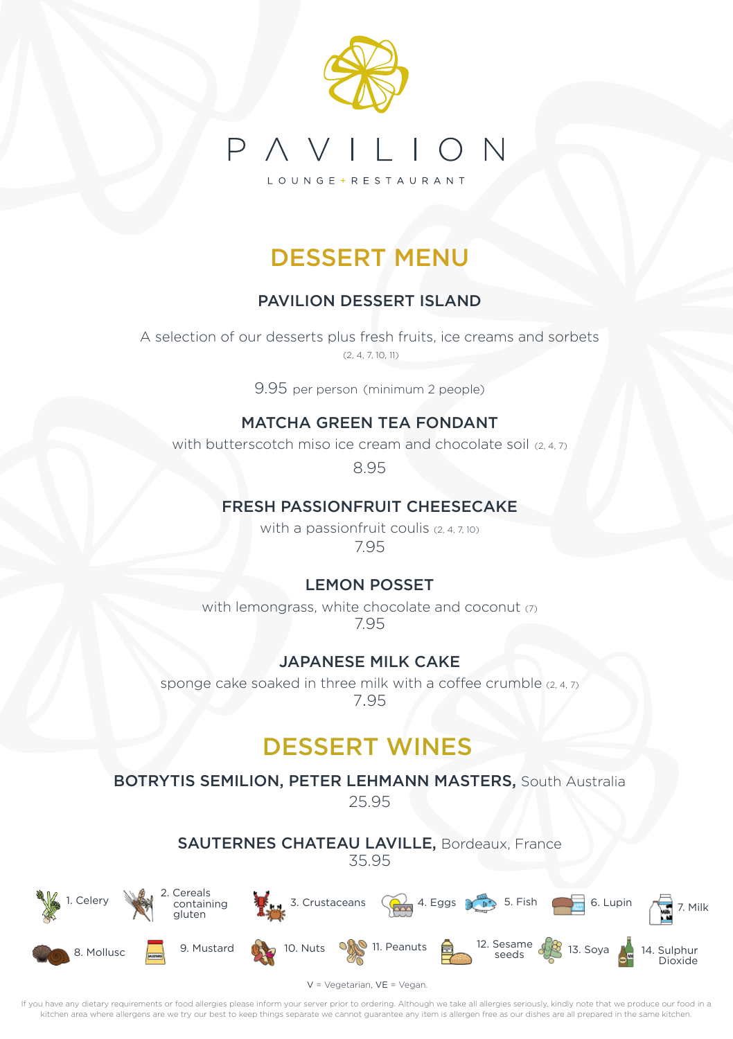

## DESSERT MENU

### PAVILION DESSERT ISLAND

A selection of our desserts plus fresh fruits, ice creams and sorbets  $(2, 4, 7, 10, 11)$ 

9.95 per person (minimum 2 people)

#### MATCHA GREEN TEA FONDANT

with butterscotch miso ice cream and chocolate soil  $(2, 4, 7)$ 

8.95

#### FRESH PASSIONFRUIT CHEESECAKE

with a passionfruit coulis (2, 4, 7, 10) 7.95

#### LEMON POSSET

with lemongrass, white chocolate and coconut (7) 7.95

#### JAPANESE MILK CAKE

sponge cake soaked in three milk with a coffee crumble (2, 4, 7) 7.95

### DESSERT WINES

BOTRYTIS SEMILION, PETER LEHMANN MASTERS, South Australia

25.95

SAUTERNES CHATEAU LAVILLE, Bordeaux, France 35.95

 containing **3.** Crustaceans  $\left(\bigcirc \right)$  4. Eggs  $\left(\bigcirc \right)$  5. Fish 6. Lupin  $\left(\bigcirc \right)$  7. Milk



Dioxide

 $V = \sqrt{\rho}$ getarian,  $VF = \sqrt{\rho}$ gan.

If you have any dietary requirements or food allergies please inform your server prior to ordering. Although we take all allergies seriously, kindly note that we produce our food in a kitchen area where allergens are we try our best to keep things separate we cannot guarantee any item is allergen free as our dishes are all prepared in the same kitchen.